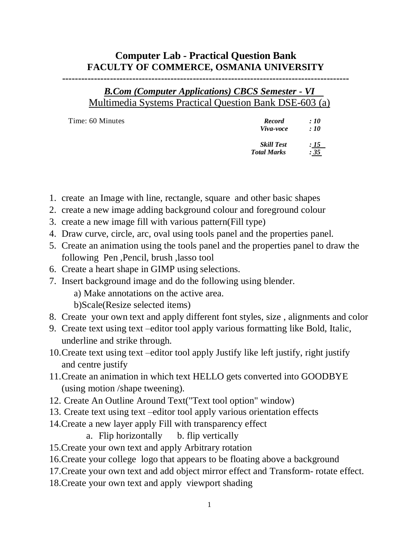## **Computer Lab - Practical Question Bank FACULTY OF COMMERCE, OSMANIA UNIVERSITY**

**------------------------------------------------------------------------------------------**

## *B.Com (Computer Applications) CBCS Semester - VI* Multimedia Systems Practical Question Bank DSE-603 (a)

| Time: 60 Minutes | <b>Record</b><br>Viva-voce              | :10<br>$\therefore$ 10  |
|------------------|-----------------------------------------|-------------------------|
|                  | <b>Skill Test</b><br><b>Total Marks</b> | <u>: 15    </u><br>: 35 |

- 1. create an Image with line, rectangle, square and other basic shapes
- 2. create a new image adding background colour and foreground colour
- 3. create a new image fill with various pattern(Fill type)
- 4. Draw curve, circle, arc, oval using tools panel and the properties panel.
- 5. Create an animation using the tools panel and the properties panel to draw the following Pen ,Pencil, brush ,lasso tool
- 6. Create a heart shape in GIMP using selections.
- 7. Insert background image and do the following using blender.
	- a) Make annotations on the active area.
	- b)Scale(Resize selected items)
- 8. Create your own text and apply different font styles, size , alignments and color
- 9. Create text using text –editor tool apply various formatting like Bold, Italic, underline and strike through.
- 10.Create text using text –editor tool apply Justify like left justify, right justify and centre justify
- 11.Create an animation in which text HELLO gets converted into GOODBYE (using motion /shape tweening).
- 12. Create An Outline Around Text("Text tool option" window)
- 13. Create text using text –editor tool apply various orientation effects
- 14.Create a new layer apply Fill with transparency effect
	- a. Flip horizontally b. flip vertically
- 15.Create your own text and apply Arbitrary rotation
- 16.Create your college logo that appears to be floating above a background
- 17.Create your own text and add object mirror effect and Transform- rotate effect.
- 18.Create your own text and apply viewport shading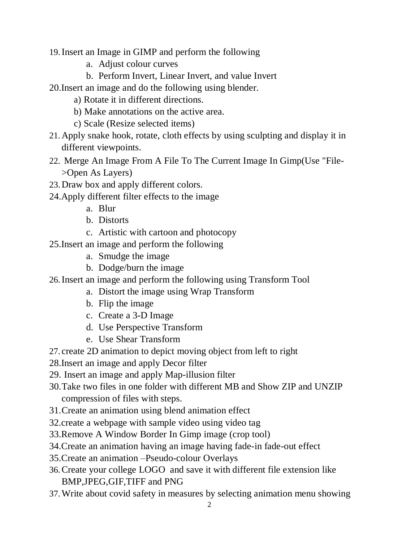- 19.Insert an Image in GIMP and perform the following
	- a. Adjust colour curves
	- b. Perform Invert, Linear Invert, and value Invert
- 20.Insert an image and do the following using blender.
	- a) Rotate it in different directions.
	- b) Make annotations on the active area.
	- c) Scale (Resize selected items)
- 21.Apply snake hook, rotate, cloth effects by using sculpting and display it in different viewpoints.
- 22. Merge An Image From A File To The Current Image In Gimp(Use "File- >Open As Layers)
- 23.Draw box and apply different colors.
- 24.Apply different filter effects to the image
	- a. Blur
	- b. Distorts
	- c. Artistic with cartoon and photocopy
- 25.Insert an image and perform the following
	- a. Smudge the image
	- b. Dodge/burn the image
- 26.Insert an image and perform the following using Transform Tool
	- a. Distort the image using Wrap Transform
	- b. Flip the image
	- c. Create a 3-D Image
	- d. Use Perspective Transform
	- e. Use Shear Transform
- 27. create 2D animation to depict moving object from left to right
- 28.Insert an image and apply Decor filter
- 29. Insert an image and apply Map-illusion filter
- 30.Take two files in one folder with different MB and Show ZIP and UNZIP compression of files with steps.
- 31.Create an animation using blend animation effect
- 32.create a webpage with sample video using video tag
- 33.Remove A Window Border In Gimp image (crop tool)
- 34.Create an animation having an image having fade-in fade-out effect
- 35.Create an animation –Pseudo-colour Overlays
- 36.Create your college LOGO and save it with different file extension like BMP,JPEG,GIF,TIFF and PNG
- 37.Write about covid safety in measures by selecting animation menu showing